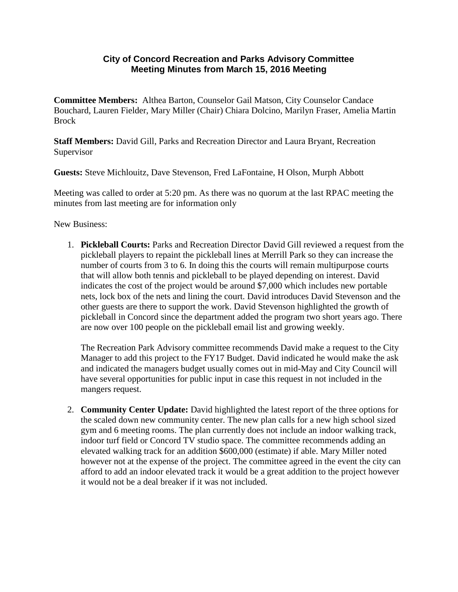## **City of Concord Recreation and Parks Advisory Committee Meeting Minutes from March 15, 2016 Meeting**

**Committee Members:** Althea Barton, Counselor Gail Matson, City Counselor Candace Bouchard, Lauren Fielder, Mary Miller (Chair) Chiara Dolcino, Marilyn Fraser, Amelia Martin Brock

**Staff Members:** David Gill, Parks and Recreation Director and Laura Bryant, Recreation Supervisor

**Guests:** Steve Michlouitz, Dave Stevenson, Fred LaFontaine, H Olson, Murph Abbott

Meeting was called to order at 5:20 pm. As there was no quorum at the last RPAC meeting the minutes from last meeting are for information only

New Business:

1. **Pickleball Courts:** Parks and Recreation Director David Gill reviewed a request from the pickleball players to repaint the pickleball lines at Merrill Park so they can increase the number of courts from 3 to 6. In doing this the courts will remain multipurpose courts that will allow both tennis and pickleball to be played depending on interest. David indicates the cost of the project would be around \$7,000 which includes new portable nets, lock box of the nets and lining the court. David introduces David Stevenson and the other guests are there to support the work. David Stevenson highlighted the growth of pickleball in Concord since the department added the program two short years ago. There are now over 100 people on the pickleball email list and growing weekly.

The Recreation Park Advisory committee recommends David make a request to the City Manager to add this project to the FY17 Budget. David indicated he would make the ask and indicated the managers budget usually comes out in mid-May and City Council will have several opportunities for public input in case this request in not included in the mangers request.

2. **Community Center Update:** David highlighted the latest report of the three options for the scaled down new community center. The new plan calls for a new high school sized gym and 6 meeting rooms. The plan currently does not include an indoor walking track, indoor turf field or Concord TV studio space. The committee recommends adding an elevated walking track for an addition \$600,000 (estimate) if able. Mary Miller noted however not at the expense of the project. The committee agreed in the event the city can afford to add an indoor elevated track it would be a great addition to the project however it would not be a deal breaker if it was not included.